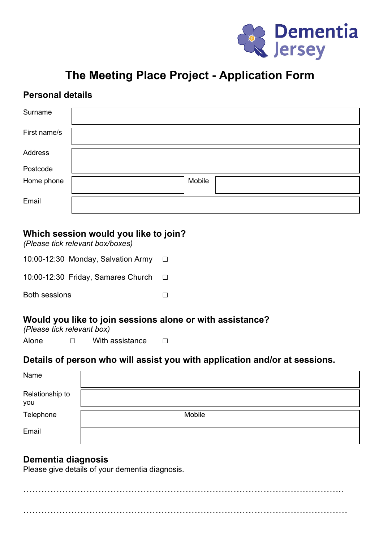

# **The Meeting Place Project - Application Form**

### **Personal details**

| Surname      |        |
|--------------|--------|
| First name/s |        |
| Address      |        |
| Postcode     |        |
| Home phone   | Mobile |
| Email        |        |

#### **Which session would you like to join?**

*(Please tick relevant box/boxes)*

| 10:00-12:30 Monday, Salvation Army | $\Box$ |
|------------------------------------|--------|
| 10:00-12:30 Friday, Samares Church | $\Box$ |
| <b>Both sessions</b>               |        |

#### **Would you like to join sessions alone or with assistance?**

*(Please tick relevant box)*

Alone □ With assistance □

#### **Details of person who will assist you with application and/or at sessions.**

| Name                   |               |
|------------------------|---------------|
| Relationship to<br>you |               |
| Telephone              | <b>Mobile</b> |
| Email                  |               |

#### **Dementia diagnosis**

Please give details of your dementia diagnosis.

…………………………………………………………………………………………….. ………………………………………………………………………………………………